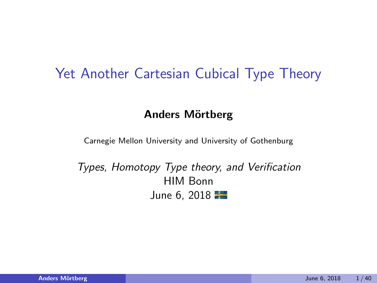#### Yet Another Cartesian Cubical Type Theory

#### Anders Mörtberg

Carnegie Mellon University and University of Gothenburg

Types, Homotopy Type theory, and Verification HIM Bonn June 6, 2018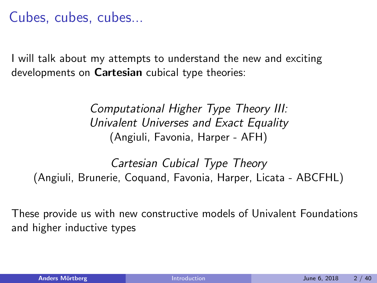#### Cubes, cubes, cubes...

I will talk about my attempts to understand the new and exciting developments on Cartesian cubical type theories:

> Computational Higher Type Theory III: Univalent Universes and Exact Equality (Angiuli, Favonia, Harper - AFH)

Cartesian Cubical Type Theory (Angiuli, Brunerie, Coquand, Favonia, Harper, Licata - ABCFHL)

These provide us with new constructive models of Univalent Foundations and higher inductive types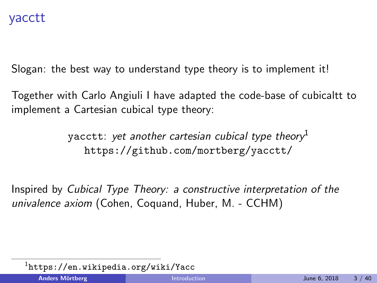Slogan: the best way to understand type theory is to implement it!

Together with Carlo Angiuli I have adapted the code-base of cubicaltt to implement a Cartesian cubical type theory:

> yacctt: yet another cartesian cubical type theory<sup>1</sup> <https://github.com/mortberg/yacctt/>

Inspired by Cubical Type Theory: a constructive interpretation of the univalence axiom (Cohen, Coquand, Huber, M. - CCHM)

 $\frac{1}{1}$ <https://en.wikipedia.org/wiki/Yacc>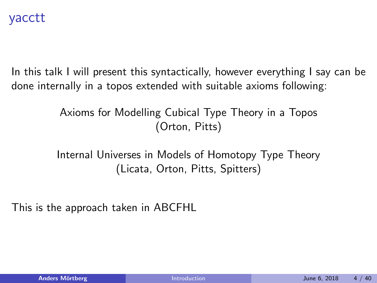In this talk I will present this syntactically, however everything I say can be done internally in a topos extended with suitable axioms following:

> Axioms for Modelling Cubical Type Theory in a Topos (Orton, Pitts)

Internal Universes in Models of Homotopy Type Theory (Licata, Orton, Pitts, Spitters)

This is the approach taken in ABCFHL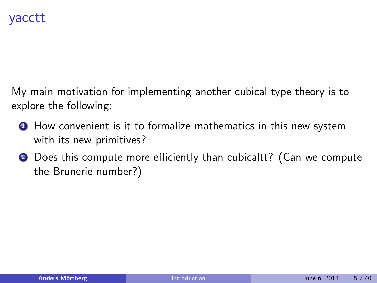My main motivation for implementing another cubical type theory is to explore the following:

- **1** How convenient is it to formalize mathematics in this new system with its new primitives?
- **2** Does this compute more efficiently than cubicaltt? (Can we compute the Brunerie number?)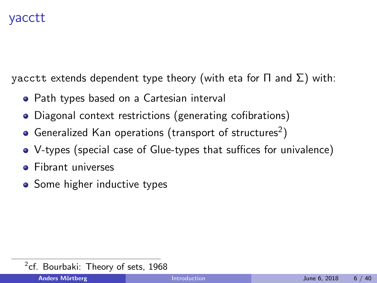#### yacctt

yacctt extends dependent type theory (with eta for  $\Pi$  and  $\Sigma$ ) with:

- Path types based on a Cartesian interval
- Diagonal context restrictions (generating cofibrations)
- Generalized Kan operations (transport of structures $^2)$
- V-types (special case of Glue-types that suffices for univalence)
- **•** Fibrant universes
- Some higher inductive types

 $2$ cf. Bourbaki: Theory of sets, 1968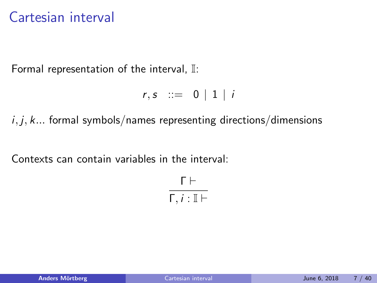## Cartesian interval

Formal representation of the interval, I:

```
r, s ::= 0 | 1 | i
```
 $i, j, k...$  formal symbols/names representing directions/dimensions

Contexts can contain variables in the interval:

 $\Gamma \vdash$  $Γ, i : I \vdash$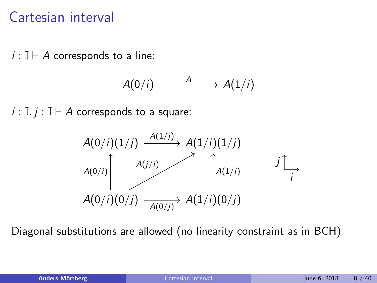## Cartesian interval

 $i : \mathbb{I} \vdash A$  corresponds to a line:

$$
A(0/i) \longrightarrow A(1/i)
$$

 $i : \mathbb{I}, j : \mathbb{I} \vdash A$  corresponds to a square:



Diagonal substitutions are allowed (no linearity constraint as in BCH)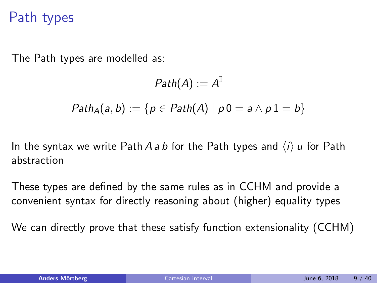### Path types

The Path types are modelled as:

$$
\mathit{Path}(A) := A^{\mathbb{I}}
$$
\n
$$
\mathit{Path}_A(a, b) := \{ p \in \mathit{Path}(A) \mid p0 = a \land p1 = b \}
$$

In the syntax we write Path A a b for the Path types and  $\langle i \rangle$  u for Path abstraction

These types are defined by the same rules as in CCHM and provide a convenient syntax for directly reasoning about (higher) equality types

We can directly prove that these satisfy function extensionality (CCHM)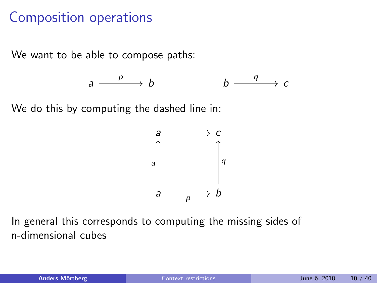## Composition operations

We want to be able to compose paths:

$$
a \xrightarrow{p} b \qquad \qquad b \xrightarrow{q} c
$$

We do this by computing the dashed line in:



In general this corresponds to computing the missing sides of n-dimensional cubes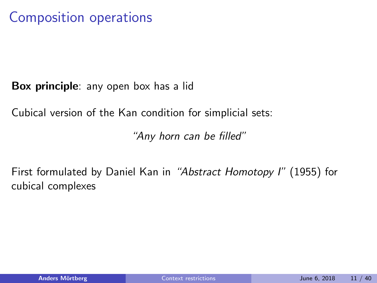## Composition operations

Box principle: any open box has a lid

Cubical version of the Kan condition for simplicial sets:

"Any horn can be filled"

First formulated by Daniel Kan in "Abstract Homotopy I" (1955) for cubical complexes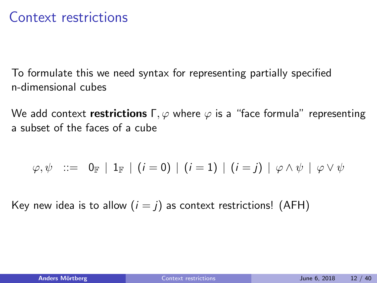To formulate this we need syntax for representing partially specified n-dimensional cubes

We add context restrictions  $\Gamma, \varphi$  where  $\varphi$  is a "face formula" representing a subset of the faces of a cube

$$
\varphi,\psi \ \ ::= \ \ 0_{\mathbb{F}} \ \ | \ \ 1_{\mathbb{F}} \ \ | \ \ (i=0) \ \ | \ \ (i=1) \ \ | \ \ (i=j) \ \ | \ \ \varphi \wedge \psi \ \ | \ \ \varphi \vee \psi
$$

Key new idea is to allow  $(i = j)$  as context restrictions! (AFH)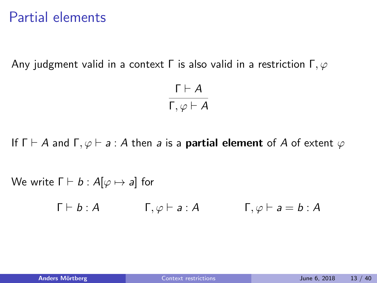#### Partial elements

Any judgment valid in a context  $\Gamma$  is also valid in a restriction  $\Gamma, \varphi$ 

$$
\frac{\Gamma \vdash A}{\Gamma, \varphi \vdash A}
$$

If  $\Gamma \vdash A$  and  $\Gamma, \varphi \vdash a : A$  then a is a **partial element** of A of extent  $\varphi$ 

We write  $\Gamma \vdash b : A[\varphi \mapsto a]$  for

 $\Gamma \vdash b : A$   $\Gamma, \varphi \vdash a : A$   $\Gamma, \varphi \vdash a = b : A$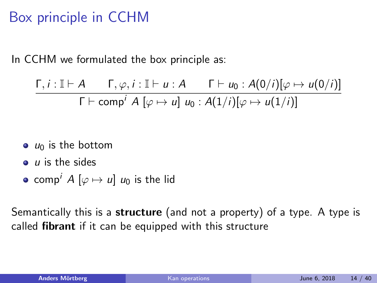## Box principle in CCHM

In CCHM we formulated the box principle as:

$$
\frac{\Gamma, i: \mathbb{I} \vdash A \qquad \Gamma, \varphi, i: \mathbb{I} \vdash u: A \qquad \Gamma \vdash u_0: A(0/i)[\varphi \mapsto u(0/i)]}{\Gamma \vdash \text{comp}^i \ A \ [\varphi \mapsto u] \ u_0: A(1/i)[\varphi \mapsto u(1/i)]}
$$

- $\bullet$  u<sub>0</sub> is the bottom
- $\bullet$  *u* is the sides
- comp<sup>i</sup>  $A [\varphi \mapsto u] u_0$  is the lid

Semantically this is a **structure** (and not a property) of a type. A type is called fibrant if it can be equipped with this structure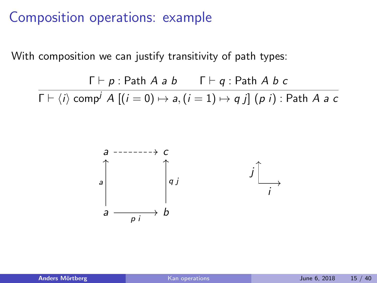#### Composition operations: example

With composition we can justify transitivity of path types:

 $\Gamma \vdash p :$  Path A a b  $\Gamma \vdash q :$  Path A b c  $\Gamma \vdash \langle i \rangle$  comp<sup>j</sup> A  $[(i = 0) \mapsto a, (i = 1) \mapsto q j]$  (p i) : Path A a c

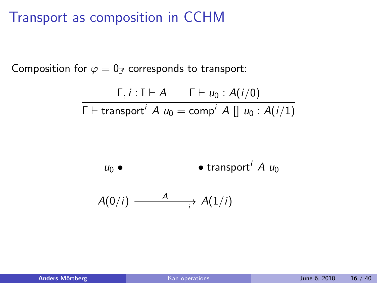### Transport as composition in CCHM

Composition for  $\varphi = 0$ <sub>F</sub> corresponds to transport:

$$
\frac{\Gamma, i : \mathbb{I} \vdash A \qquad \Gamma \vdash u_0 : A(i/0)}{\Gamma \vdash \text{transport}^i \ A \ u_0 = \text{comp}^i \ A \ [] \ u_0 : A(i/1)}
$$

$$
u_0 \bullet \qquad \qquad \bullet \quad \bullet \quad \text{transport}^i \ A \ u_0
$$

$$
A(0/i) \xrightarrow{A} A(1/i)
$$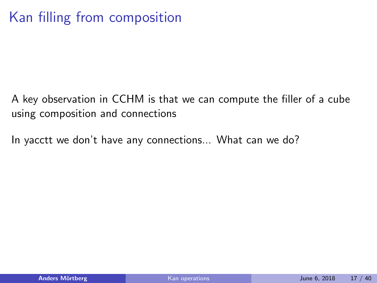## Kan filling from composition

A key observation in CCHM is that we can compute the filler of a cube using composition and connections

In yacctt we don't have any connections... What can we do?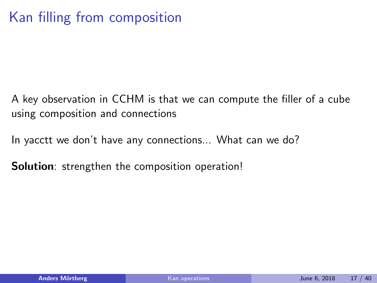A key observation in CCHM is that we can compute the filler of a cube using composition and connections

In yacctt we don't have any connections... What can we do?

Solution: strengthen the composition operation!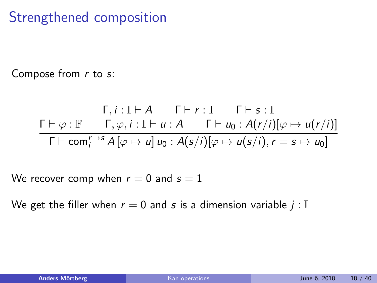## Strengthened composition

Compose from  $r$  to  $s$ :

$$
\begin{array}{cc}\n\Gamma, i: \mathbb{I} \vdash A & \Gamma \vdash r: \mathbb{I} & \Gamma \vdash s: \mathbb{I} \\
\Gamma \vdash \varphi: \mathbb{F} & \Gamma, \varphi, i: \mathbb{I} \vdash u: A & \Gamma \vdash u_0: A(r/i)[\varphi \mapsto u(r/i)] \\
\hline\n\Gamma \vdash \text{com}_{i}^{r \to s} A[\varphi \mapsto u] u_0: A(s/i)[\varphi \mapsto u(s/i), r = s \mapsto u_0]\n\end{array}
$$

We recover comp when  $r = 0$  and  $s = 1$ 

We get the filler when  $r = 0$  and s is a dimension variable  $j : \mathbb{I}$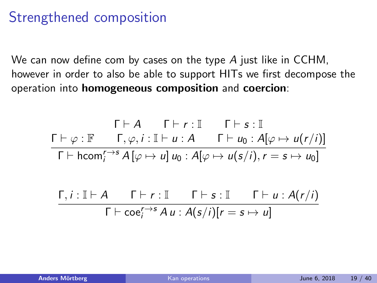### Strengthened composition

We can now define com by cases on the type A just like in CCHM, however in order to also be able to support HITs we first decompose the operation into homogeneous composition and coercion:

$$
\begin{array}{ccc}\n\Gamma \vdash A & \Gamma \vdash r : \mathbb{I} & \Gamma \vdash s : \mathbb{I} \\
\Gamma \vdash \varphi : \mathbb{F} & \Gamma, \varphi, i : \mathbb{I} \vdash u : A & \Gamma \vdash u_0 : A[\varphi \mapsto u(r/i)] \\
\hline\n\Gamma \vdash \text{hcom}_{i}^{r \to s} A[\varphi \mapsto u] u_0 : A[\varphi \mapsto u(s/i), r = s \mapsto u_0]\n\end{array}
$$

$$
\frac{\Gamma, i: \mathbb{I} \vdash A \qquad \Gamma \vdash r: \mathbb{I} \qquad \Gamma \vdash s: \mathbb{I} \qquad \Gamma \vdash u: A(r/i)}{\Gamma \vdash \mathrm{coe}_i^{r \to s} A u: A(s/i)[r = s \mapsto u]}
$$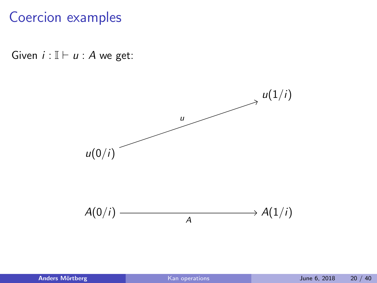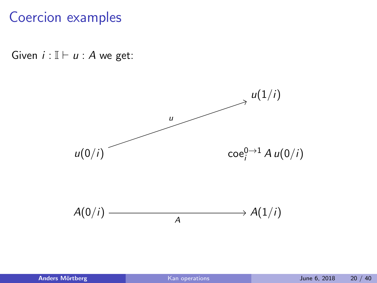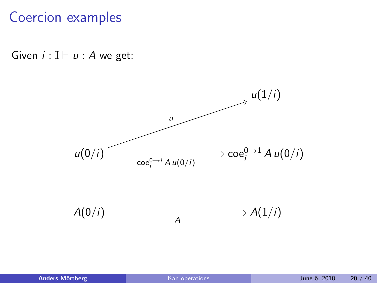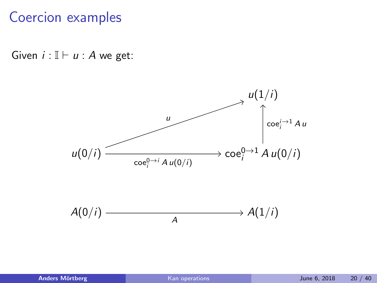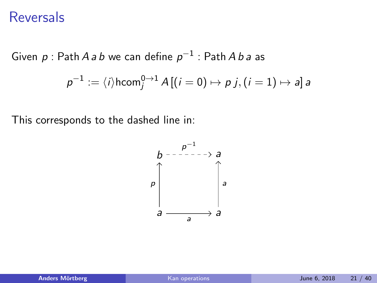#### Reversals

Given  $\rho$  : Path A  $a$   $b$  we can define  $\rho^{-1}$  : Path A  $b$   $a$  as

$$
\rho^{-1}:=\langle i\rangle\mathsf{hcom}_j^{0\rightarrow 1} \, A\,[(i=0)\mapsto p \, j, (i=1)\mapsto \mathsf{a}]\, \mathsf{a}
$$

This corresponds to the dashed line in:

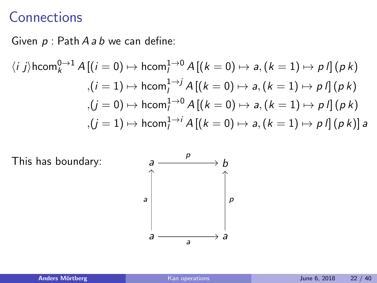### **Connections**

Given  $p$  : Path  $A$  a  $b$  we can define:

$$
\langle i \ j \rangle \text{hcom}_{k}^{0 \to 1} A \left[ (i = 0) \mapsto \text{hcom}_{l}^{1 \to 0} A \left[ (k = 0) \mapsto a, (k = 1) \mapsto p \ l \right] (p \ k)
$$

$$
,(i = 1) \mapsto \text{hcom}_{l}^{1 \to j} A \left[ (k = 0) \mapsto a, (k = 1) \mapsto p \ l \right] (p \ k)
$$

$$
,(j = 0) \mapsto \text{hcom}_{l}^{1 \to 0} A \left[ (k = 0) \mapsto a, (k = 1) \mapsto p \ l \right] (p \ k)
$$

$$
,(j = 1) \mapsto \text{hcom}_{l}^{1 \to i} A \left[ (k = 0) \mapsto a, (k = 1) \mapsto p \ l \right] (p \ k) \ a
$$

This has boundary: a

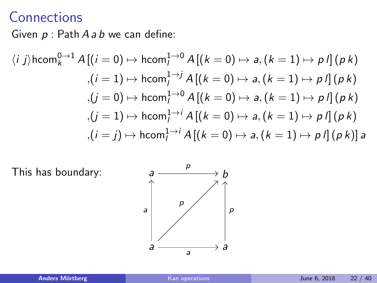#### **Connections**

Given  $p$  : Path  $A$  a  $b$  we can define:

$$
\langle i \ j \rangle \text{hcom}_{k}^{0 \to 1} A \left[ (i = 0) \mapsto \text{hcom}_{l}^{1 \to 0} A \left[ (k = 0) \mapsto a, (k = 1) \mapsto p \ l \right] (p \ k)
$$
  

$$
,(i = 1) \mapsto \text{hcom}_{l}^{1 \to j} A \left[ (k = 0) \mapsto a, (k = 1) \mapsto p \ l \right] (p \ k)
$$
  

$$
,(j = 0) \mapsto \text{hcom}_{l}^{1 \to 0} A \left[ (k = 0) \mapsto a, (k = 1) \mapsto p \ l \right] (p \ k)
$$
  

$$
,(j = 1) \mapsto \text{hcom}_{l}^{1 \to i} A \left[ (k = 0) \mapsto a, (k = 1) \mapsto p \ l \right] (p \ k)
$$
  

$$
,(i = j) \mapsto \text{hcom}_{l}^{1 \to i} A \left[ (k = 0) \mapsto a, (k = 1) \mapsto p \ l \right] (p \ k) \ a
$$

This has boundary:  $a$ 

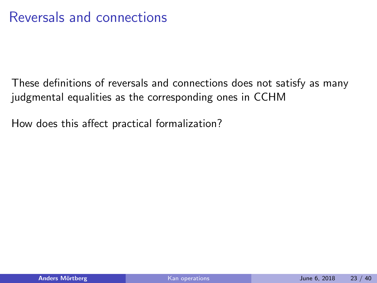These definitions of reversals and connections does not satisfy as many judgmental equalities as the corresponding ones in CCHM

How does this affect practical formalization?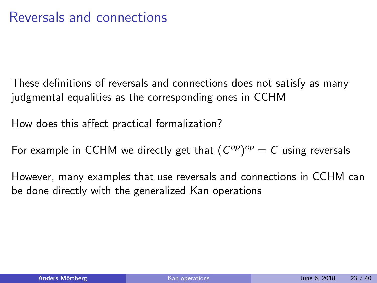These definitions of reversals and connections does not satisfy as many judgmental equalities as the corresponding ones in CCHM

How does this affect practical formalization?

For example in CCHM we directly get that  $(C^{op})^{op} = C$  using reversals

However, many examples that use reversals and connections in CCHM can be done directly with the generalized Kan operations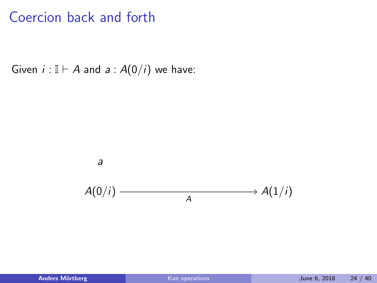Given  $i : \mathbb{I} \vdash A$  and  $a : A(0/i)$  we have:

a

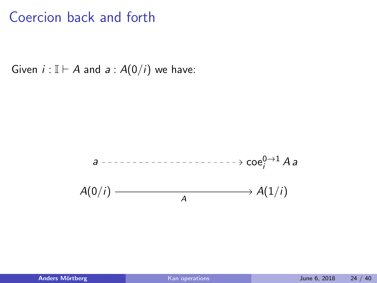Given  $i : \mathbb{I} \vdash A$  and  $a : A(0/i)$  we have:

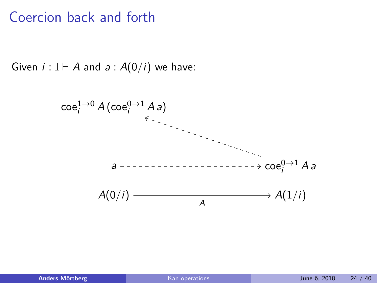Given  $i : \mathbb{I} \vdash A$  and  $a : A(0/i)$  we have:

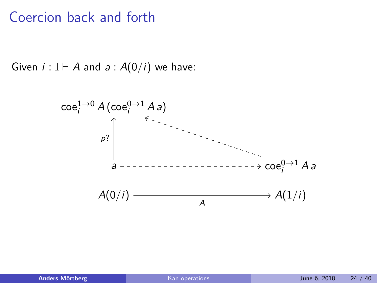Given  $i : \mathbb{I} \vdash A$  and  $a : A(0/i)$  we have:

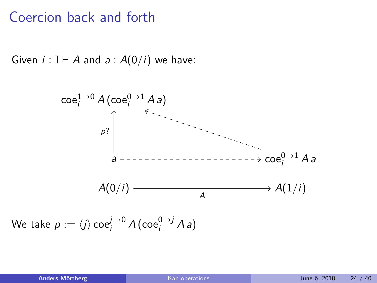Given  $i : \mathbb{I} \vdash A$  and  $a : A(0/i)$  we have:



We take  $p := \langle j \rangle \, {\rm co} e^{j \to 0}_i \, A \, ({\rm co} e^{0 \to j}_i \, A \, a)$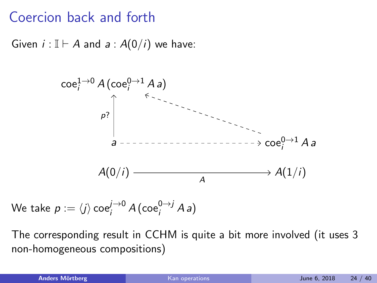Given  $i : \mathbb{I} \vdash A$  and  $a : A(0/i)$  we have:



We take  $p := \langle j \rangle \, {\rm co} e^{j \to 0}_i \, A \, ({\rm co} e^{0 \to j}_i \, A \, a)$ 

The corresponding result in CCHM is quite a bit more involved (it uses 3 non-homogeneous compositions)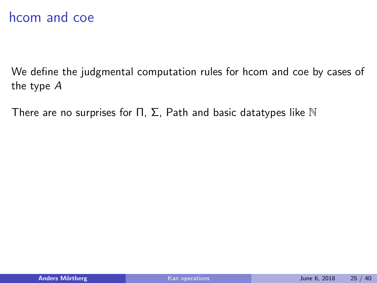#### hcom and coe

We define the judgmental computation rules for hcom and coe by cases of the type A

There are no surprises for  $\Pi$ ,  $\Sigma$ , Path and basic datatypes like  $\mathbb N$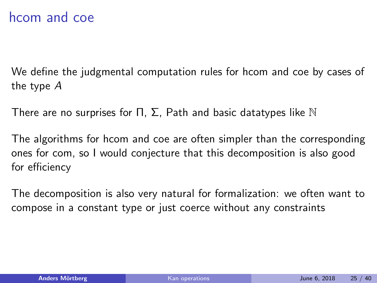#### hcom and coe

We define the judgmental computation rules for hcom and coe by cases of the type A

There are no surprises for  $\Pi$ ,  $\Sigma$ , Path and basic datatypes like N

The algorithms for hcom and coe are often simpler than the corresponding ones for com, so I would conjecture that this decomposition is also good for efficiency

The decomposition is also very natural for formalization: we often want to compose in a constant type or just coerce without any constraints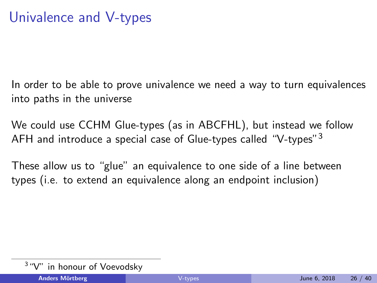In order to be able to prove univalence we need a way to turn equivalences into paths in the universe

We could use CCHM Glue-types (as in ABCFHL), but instead we follow AFH and introduce a special case of Glue-types called "V-types"<sup>3</sup>

These allow us to "glue" an equivalence to one side of a line between types (i.e. to extend an equivalence along an endpoint inclusion)

<sup>&</sup>lt;sup>3</sup> "V" in honour of Voevodsky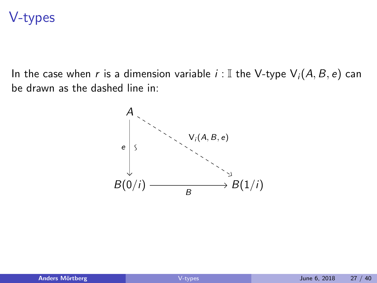#### V-types

In the case when r is a dimension variable  $i : \mathbb{I}$  the V-type  $\mathsf{V}_i(A, B, e)$  can be drawn as the dashed line in:

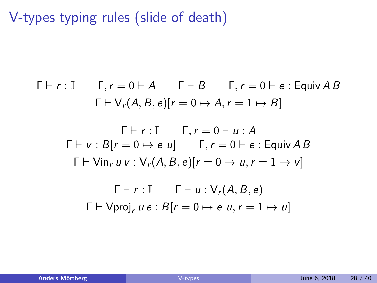V-types typing rules (slide of death)

$$
\begin{array}{c|c|c}\n\Gamma \vdash r : \mathbb{I} & \Gamma, r = 0 \vdash A & \Gamma \vdash B & \Gamma, r = 0 \vdash e : \text{Equiv } AB \\
\hline\n\Gamma \vdash \nabla_r(A, B, e)[r = 0 \mapsto A, r = 1 \mapsto B] \\
\hline\n\Gamma \vdash r : \mathbb{I} & \Gamma, r = 0 \vdash u : A \\
\hline\n\Gamma \vdash v : B[r = 0 \mapsto e u] & \Gamma, r = 0 \vdash e : \text{Equiv } AB \\
\hline\n\Gamma \vdash \text{Vin}_r u v : \nabla_r(A, B, e)[r = 0 \mapsto u, r = 1 \mapsto v] \\
\hline\n\Gamma \vdash r : \mathbb{I} & \Gamma \vdash u : \nabla_r(A, B, e) \\
\hline\n\Gamma \vdash \text{Vproj}_r u e : B[r = 0 \mapsto e u, r = 1 \mapsto u]\n\end{array}
$$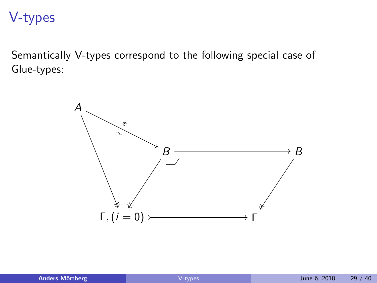#### V-types

Semantically V-types correspond to the following special case of Glue-types:

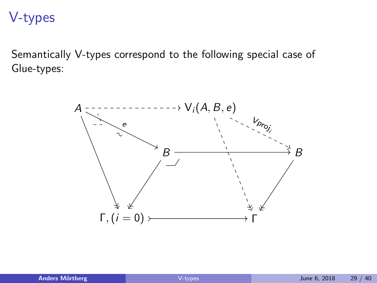#### V-types

Semantically V-types correspond to the following special case of Glue-types:

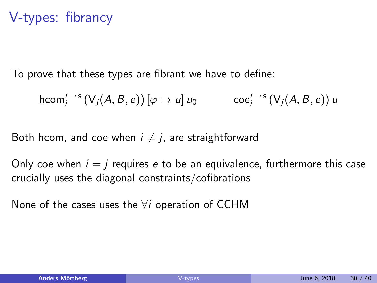## V-types: fibrancy

To prove that these types are fibrant we have to define:

$$
\mathsf{hcom}^{r\to s}_i\left(\mathsf{V}_j(A,B,e)\right)[\varphi\mapsto u]\,u_0\qquad\mathsf{coe}^{r\to s}_i\left(\mathsf{V}_j(A,B,e)\right)u
$$

Both hcom, and coe when  $i \neq j$ , are straightforward

Only coe when  $i = j$  requires e to be an equivalence, furthermore this case crucially uses the diagonal constraints/cofibrations

None of the cases uses the  $\forall i$  operation of CCHM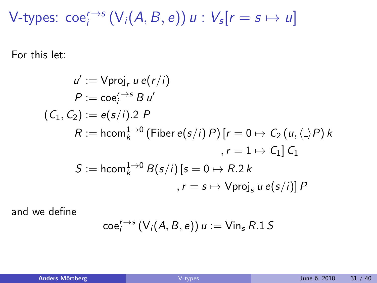V-types:  $\operatorname{coe}_i^{r\to s}(V_i(A,B,e))$   $u: V_s[r=s\mapsto u]$ 

For this let:

$$
u' := \text{Vproj}_r u e(r/i)
$$
  
\n
$$
P := \cos_i^{r \to s} B u'
$$
  
\n
$$
(C_1, C_2) := e(s/i).2 P
$$
  
\n
$$
R := \text{hcom}_k^{1 \to 0} \text{ (Fiber } e(s/i) P) [r = 0 \mapsto C_2 (u, \langle \cdot \rangle P) k
$$
  
\n
$$
r = 1 \mapsto C_1] C_1
$$
  
\n
$$
S := \text{hcom}_k^{1 \to 0} B(s/i) [s = 0 \mapsto R.2 k
$$
  
\n
$$
r = s \mapsto \text{Vproj}_s u e(s/i) P
$$

and we define

$$
\operatorname{coe}_i^{r\to s}(V_i(A,B,e)) u := \operatorname{Vir}_s R.1 S
$$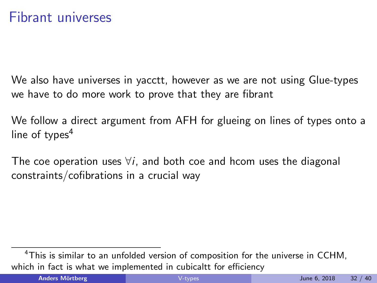We also have universes in yacctt, however as we are not using Glue-types we have to do more work to prove that they are fibrant

We follow a direct argument from AFH for glueing on lines of types onto a line of types $4$ 

The coe operation uses  $\forall i$ , and both coe and hcom uses the diagonal constraints/cofibrations in a crucial way

<sup>&</sup>lt;sup>4</sup>This is similar to an unfolded version of composition for the universe in CCHM, which in fact is what we implemented in cubicaltt for efficiency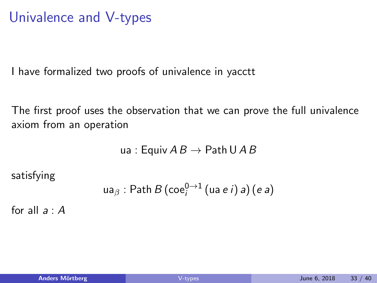I have formalized two proofs of univalence in yacctt

The first proof uses the observation that we can prove the full univalence axiom from an operation

ua : Equiv  $AB \rightarrow$  Path U A B

satisfying

$$
\mathsf{u} \mathsf{a}_\beta : \mathsf{Path}\, B\,(\mathsf{coe}_i^{0 \to 1}\,(\mathsf{u} \mathsf{a}\, e\, i)\, \mathsf{a})\,(\mathsf{e}\,\mathsf{a})
$$

for all  $a \cdot A$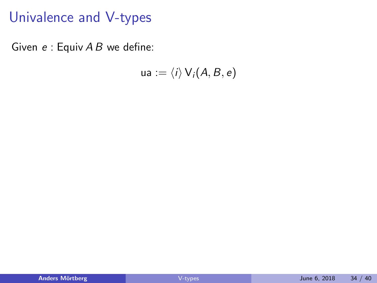Given  $e :$  Equiv  $AB$  we define:

$$
ua := \langle i \rangle \, \mathsf{V}_i(A,B,e)
$$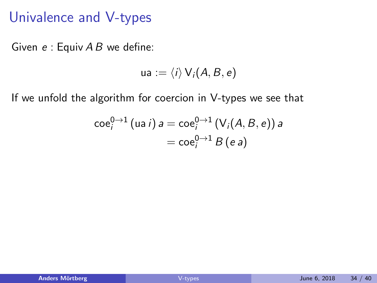Given  $e:$  Equiv  $AB$  we define:

$$
ua := \langle i \rangle \, \mathsf{V}_i(A,B,e)
$$

If we unfold the algorithm for coercion in V-types we see that

$$
\begin{aligned} \n\operatorname{coe}_i^{0 \to 1}(\operatorname{ua} i) a &= \operatorname{coe}_i^{0 \to 1}(\operatorname{V}_i(A, B, e)) a \\ \n&= \operatorname{coe}_i^{0 \to 1} B(e a) \n\end{aligned}
$$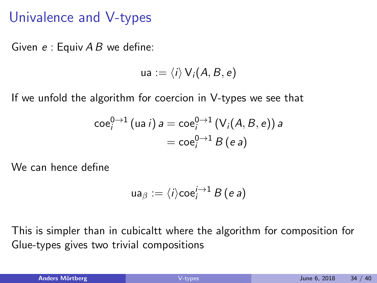Given  $e:$  Equiv  $AB$  we define:

$$
ua := \langle i \rangle \, V_i(A, B, e)
$$

If we unfold the algorithm for coercion in V-types we see that

$$
\begin{aligned} \n\operatorname{coe}_i^{0 \to 1}(\operatorname{ua} i) a &= \operatorname{coe}_i^{0 \to 1}(\operatorname{V}_i(A, B, e)) a \\ \n&= \operatorname{coe}_i^{0 \to 1} B(e a) \n\end{aligned}
$$

We can hence define

$$
\mathsf{ua}_{\beta} := \langle i \rangle \mathsf{coe}^{i \to 1}_i \, B \, (e \, a)
$$

This is simpler than in cubicaltt where the algorithm for composition for Glue-types gives two trivial compositions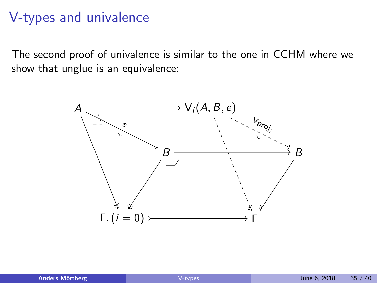## V-types and univalence

The second proof of univalence is similar to the one in CCHM where we show that unglue is an equivalence:

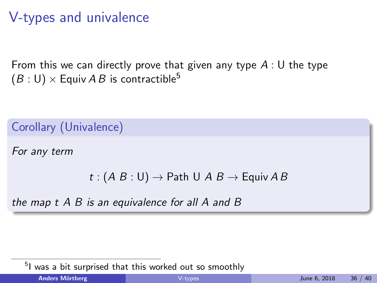## V-types and univalence

From this we can directly prove that given any type  $A:U$  the type  $(B: U) \times$  Equiv A B is contractible<sup>5</sup>

Corollary (Univalence)

For any term

```
t : (A \ B : U) \rightarrow Path U A \ B \rightarrow Equiv A B
```
the map t A B is an equivalence for all A and B

<sup>5</sup>I was a bit surprised that this worked out so smoothly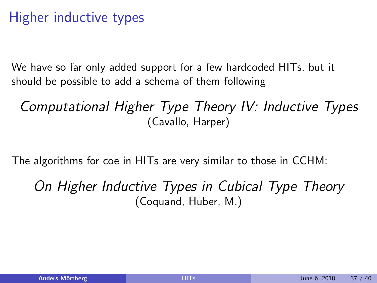## Higher inductive types

We have so far only added support for a few hardcoded HITs, but it should be possible to add a schema of them following

Computational Higher Type Theory IV: Inductive Types (Cavallo, Harper)

The algorithms for coe in HITs are very similar to those in CCHM:

On Higher Inductive Types in Cubical Type Theory (Coquand, Huber, M.)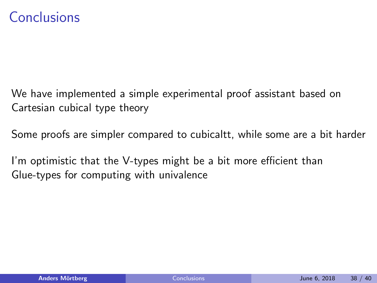### Conclusions

We have implemented a simple experimental proof assistant based on Cartesian cubical type theory

Some proofs are simpler compared to cubicaltt, while some are a bit harder

I'm optimistic that the V-types might be a bit more efficient than Glue-types for computing with univalence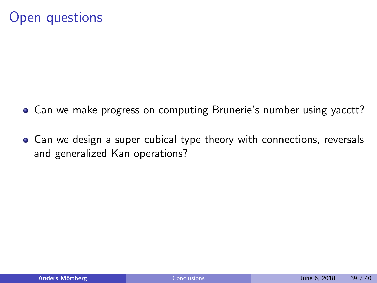### Open questions

- Can we make progress on computing Brunerie's number using yacctt?
- Can we design a super cubical type theory with connections, reversals and generalized Kan operations?